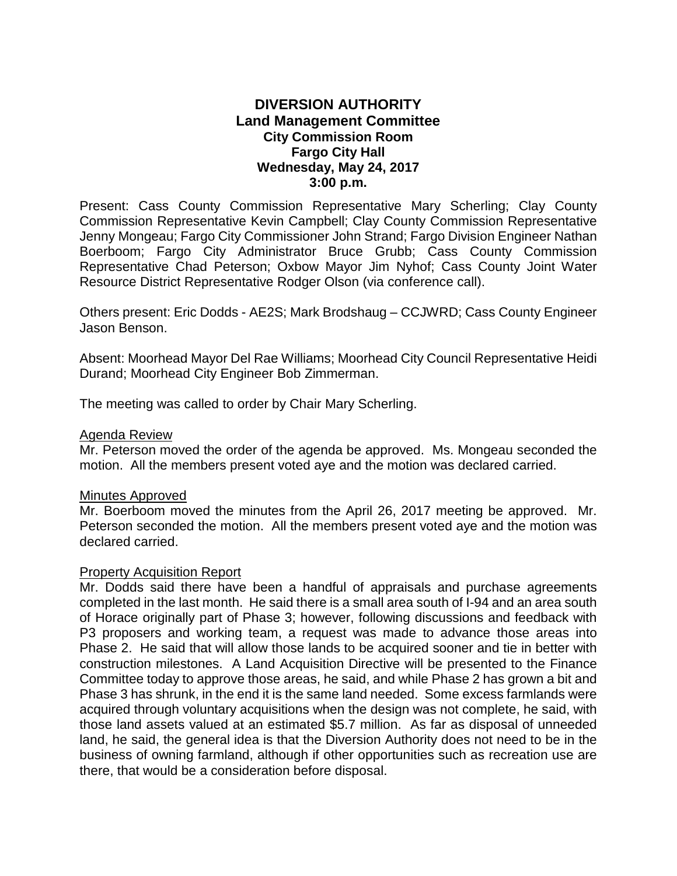# **DIVERSION AUTHORITY Land Management Committee City Commission Room Fargo City Hall Wednesday, May 24, 2017 3:00 p.m.**

Present: Cass County Commission Representative Mary Scherling; Clay County Commission Representative Kevin Campbell; Clay County Commission Representative Jenny Mongeau; Fargo City Commissioner John Strand; Fargo Division Engineer Nathan Boerboom; Fargo City Administrator Bruce Grubb; Cass County Commission Representative Chad Peterson; Oxbow Mayor Jim Nyhof; Cass County Joint Water Resource District Representative Rodger Olson (via conference call).

Others present: Eric Dodds - AE2S; Mark Brodshaug – CCJWRD; Cass County Engineer Jason Benson.

Absent: Moorhead Mayor Del Rae Williams; Moorhead City Council Representative Heidi Durand; Moorhead City Engineer Bob Zimmerman.

The meeting was called to order by Chair Mary Scherling.

#### Agenda Review

Mr. Peterson moved the order of the agenda be approved. Ms. Mongeau seconded the motion. All the members present voted aye and the motion was declared carried.

#### Minutes Approved

Mr. Boerboom moved the minutes from the April 26, 2017 meeting be approved. Mr. Peterson seconded the motion. All the members present voted aye and the motion was declared carried.

#### Property Acquisition Report

Mr. Dodds said there have been a handful of appraisals and purchase agreements completed in the last month. He said there is a small area south of I-94 and an area south of Horace originally part of Phase 3; however, following discussions and feedback with P3 proposers and working team, a request was made to advance those areas into Phase 2. He said that will allow those lands to be acquired sooner and tie in better with construction milestones.A Land Acquisition Directive will be presented to the Finance Committee today to approve those areas, he said, and while Phase 2 has grown a bit and Phase 3 has shrunk, in the end it is the same land needed. Some excess farmlands were acquired through voluntary acquisitions when the design was not complete, he said, with those land assets valued at an estimated \$5.7 million. As far as disposal of unneeded land, he said, the general idea is that the Diversion Authority does not need to be in the business of owning farmland, although if other opportunities such as recreation use are there, that would be a consideration before disposal.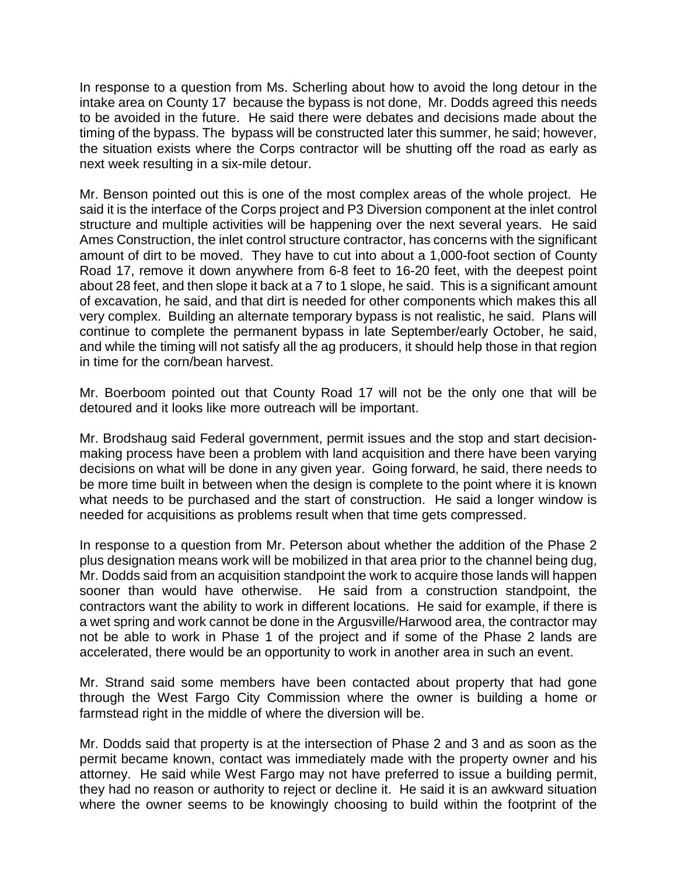In response to a question from Ms. Scherling about how to avoid the long detour in the intake area on County 17 because the bypass is not done, Mr. Dodds agreed this needs to be avoided in the future. He said there were debates and decisions made about the timing of the bypass. The bypass will be constructed later this summer, he said; however, the situation exists where the Corps contractor will be shutting off the road as early as next week resulting in a six-mile detour.

Mr. Benson pointed out this is one of the most complex areas of the whole project. He said it is the interface of the Corps project and P3 Diversion component at the inlet control structure and multiple activities will be happening over the next several years. He said Ames Construction, the inlet control structure contractor, has concerns with the significant amount of dirt to be moved. They have to cut into about a 1,000-foot section of County Road 17, remove it down anywhere from 6-8 feet to 16-20 feet, with the deepest point about 28 feet, and then slope it back at a 7 to 1 slope, he said. This is a significant amount of excavation, he said, and that dirt is needed for other components which makes this all very complex. Building an alternate temporary bypass is not realistic, he said. Plans will continue to complete the permanent bypass in late September/early October, he said, and while the timing will not satisfy all the ag producers, it should help those in that region in time for the corn/bean harvest.

Mr. Boerboom pointed out that County Road 17 will not be the only one that will be detoured and it looks like more outreach will be important.

Mr. Brodshaug said Federal government, permit issues and the stop and start decisionmaking process have been a problem with land acquisition and there have been varying decisions on what will be done in any given year. Going forward, he said, there needs to be more time built in between when the design is complete to the point where it is known what needs to be purchased and the start of construction. He said a longer window is needed for acquisitions as problems result when that time gets compressed.

In response to a question from Mr. Peterson about whether the addition of the Phase 2 plus designation means work will be mobilized in that area prior to the channel being dug, Mr. Dodds said from an acquisition standpoint the work to acquire those lands will happen sooner than would have otherwise. He said from a construction standpoint, the contractors want the ability to work in different locations. He said for example, if there is a wet spring and work cannot be done in the Argusville/Harwood area, the contractor may not be able to work in Phase 1 of the project and if some of the Phase 2 lands are accelerated, there would be an opportunity to work in another area in such an event.

Mr. Strand said some members have been contacted about property that had gone through the West Fargo City Commission where the owner is building a home or farmstead right in the middle of where the diversion will be.

Mr. Dodds said that property is at the intersection of Phase 2 and 3 and as soon as the permit became known, contact was immediately made with the property owner and his attorney. He said while West Fargo may not have preferred to issue a building permit, they had no reason or authority to reject or decline it. He said it is an awkward situation where the owner seems to be knowingly choosing to build within the footprint of the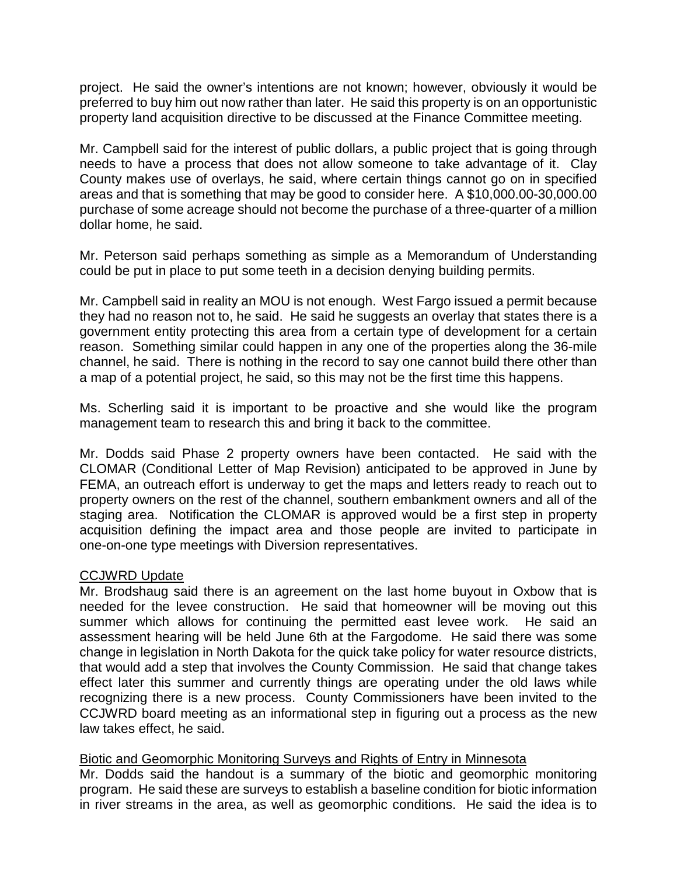project. He said the owner's intentions are not known; however, obviously it would be preferred to buy him out now rather than later. He said this property is on an opportunistic property land acquisition directive to be discussed at the Finance Committee meeting.

Mr. Campbell said for the interest of public dollars, a public project that is going through needs to have a process that does not allow someone to take advantage of it. Clay County makes use of overlays, he said, where certain things cannot go on in specified areas and that is something that may be good to consider here. A \$10,000.00-30,000.00 purchase of some acreage should not become the purchase of a three-quarter of a million dollar home, he said.

Mr. Peterson said perhaps something as simple as a Memorandum of Understanding could be put in place to put some teeth in a decision denying building permits.

Mr. Campbell said in reality an MOU is not enough. West Fargo issued a permit because they had no reason not to, he said. He said he suggests an overlay that states there is a government entity protecting this area from a certain type of development for a certain reason. Something similar could happen in any one of the properties along the 36-mile channel, he said. There is nothing in the record to say one cannot build there other than a map of a potential project, he said, so this may not be the first time this happens.

Ms. Scherling said it is important to be proactive and she would like the program management team to research this and bring it back to the committee.

Mr. Dodds said Phase 2 property owners have been contacted. He said with the CLOMAR (Conditional Letter of Map Revision) anticipated to be approved in June by FEMA, an outreach effort is underway to get the maps and letters ready to reach out to property owners on the rest of the channel, southern embankment owners and all of the staging area. Notification the CLOMAR is approved would be a first step in property acquisition defining the impact area and those people are invited to participate in one-on-one type meetings with Diversion representatives.

## CCJWRD Update

Mr. Brodshaug said there is an agreement on the last home buyout in Oxbow that is needed for the levee construction. He said that homeowner will be moving out this summer which allows for continuing the permitted east levee work. He said an assessment hearing will be held June 6th at the Fargodome. He said there was some change in legislation in North Dakota for the quick take policy for water resource districts, that would add a step that involves the County Commission. He said that change takes effect later this summer and currently things are operating under the old laws while recognizing there is a new process. County Commissioners have been invited to the CCJWRD board meeting as an informational step in figuring out a process as the new law takes effect, he said.

## Biotic and Geomorphic Monitoring Surveys and Rights of Entry in Minnesota

Mr. Dodds said the handout is a summary of the biotic and geomorphic monitoring program. He said these are surveys to establish a baseline condition for biotic information in river streams in the area, as well as geomorphic conditions. He said the idea is to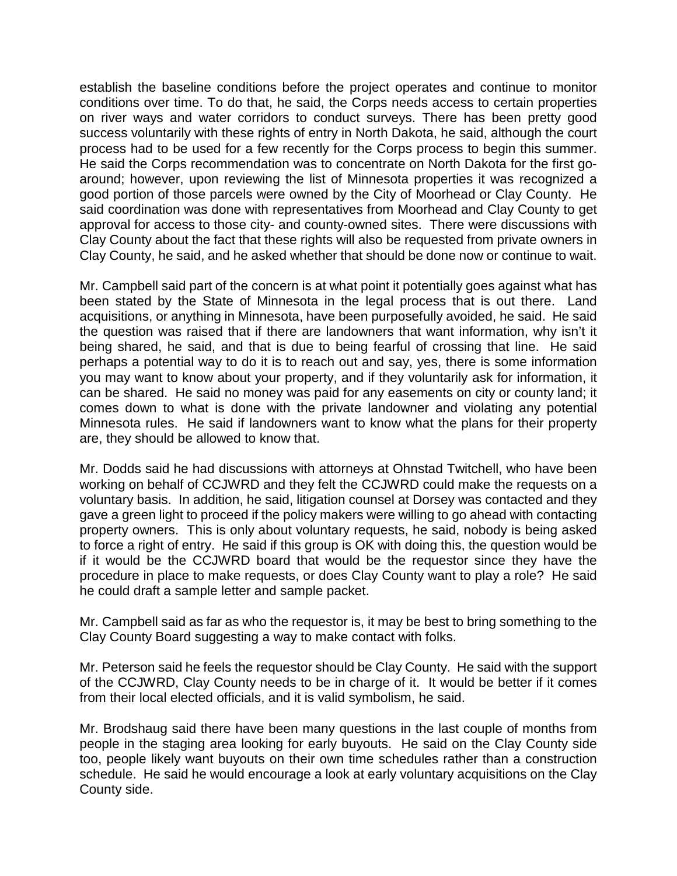establish the baseline conditions before the project operates and continue to monitor conditions over time. To do that, he said, the Corps needs access to certain properties on river ways and water corridors to conduct surveys. There has been pretty good success voluntarily with these rights of entry in North Dakota, he said, although the court process had to be used for a few recently for the Corps process to begin this summer. He said the Corps recommendation was to concentrate on North Dakota for the first goaround; however, upon reviewing the list of Minnesota properties it was recognized a good portion of those parcels were owned by the City of Moorhead or Clay County. He said coordination was done with representatives from Moorhead and Clay County to get approval for access to those city- and county-owned sites. There were discussions with Clay County about the fact that these rights will also be requested from private owners in Clay County, he said, and he asked whether that should be done now or continue to wait.

Mr. Campbell said part of the concern is at what point it potentially goes against what has been stated by the State of Minnesota in the legal process that is out there. Land acquisitions, or anything in Minnesota, have been purposefully avoided, he said. He said the question was raised that if there are landowners that want information, why isn't it being shared, he said, and that is due to being fearful of crossing that line. He said perhaps a potential way to do it is to reach out and say, yes, there is some information you may want to know about your property, and if they voluntarily ask for information, it can be shared. He said no money was paid for any easements on city or county land; it comes down to what is done with the private landowner and violating any potential Minnesota rules. He said if landowners want to know what the plans for their property are, they should be allowed to know that.

Mr. Dodds said he had discussions with attorneys at Ohnstad Twitchell, who have been working on behalf of CCJWRD and they felt the CCJWRD could make the requests on a voluntary basis. In addition, he said, litigation counsel at Dorsey was contacted and they gave a green light to proceed if the policy makers were willing to go ahead with contacting property owners. This is only about voluntary requests, he said, nobody is being asked to force a right of entry. He said if this group is OK with doing this, the question would be if it would be the CCJWRD board that would be the requestor since they have the procedure in place to make requests, or does Clay County want to play a role? He said he could draft a sample letter and sample packet.

Mr. Campbell said as far as who the requestor is, it may be best to bring something to the Clay County Board suggesting a way to make contact with folks.

Mr. Peterson said he feels the requestor should be Clay County. He said with the support of the CCJWRD, Clay County needs to be in charge of it. It would be better if it comes from their local elected officials, and it is valid symbolism, he said.

Mr. Brodshaug said there have been many questions in the last couple of months from people in the staging area looking for early buyouts. He said on the Clay County side too, people likely want buyouts on their own time schedules rather than a construction schedule. He said he would encourage a look at early voluntary acquisitions on the Clay County side.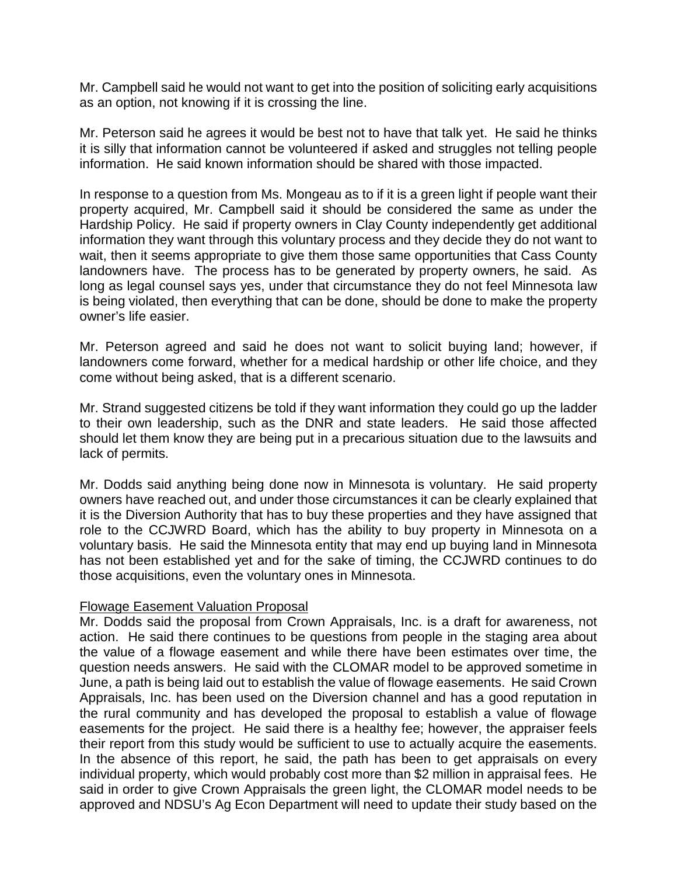Mr. Campbell said he would not want to get into the position of soliciting early acquisitions as an option, not knowing if it is crossing the line.

Mr. Peterson said he agrees it would be best not to have that talk yet. He said he thinks it is silly that information cannot be volunteered if asked and struggles not telling people information. He said known information should be shared with those impacted.

In response to a question from Ms. Mongeau as to if it is a green light if people want their property acquired, Mr. Campbell said it should be considered the same as under the Hardship Policy. He said if property owners in Clay County independently get additional information they want through this voluntary process and they decide they do not want to wait, then it seems appropriate to give them those same opportunities that Cass County landowners have. The process has to be generated by property owners, he said. As long as legal counsel says yes, under that circumstance they do not feel Minnesota law is being violated, then everything that can be done, should be done to make the property owner's life easier.

Mr. Peterson agreed and said he does not want to solicit buying land; however, if landowners come forward, whether for a medical hardship or other life choice, and they come without being asked, that is a different scenario.

Mr. Strand suggested citizens be told if they want information they could go up the ladder to their own leadership, such as the DNR and state leaders. He said those affected should let them know they are being put in a precarious situation due to the lawsuits and lack of permits.

Mr. Dodds said anything being done now in Minnesota is voluntary. He said property owners have reached out, and under those circumstances it can be clearly explained that it is the Diversion Authority that has to buy these properties and they have assigned that role to the CCJWRD Board, which has the ability to buy property in Minnesota on a voluntary basis. He said the Minnesota entity that may end up buying land in Minnesota has not been established yet and for the sake of timing, the CCJWRD continues to do those acquisitions, even the voluntary ones in Minnesota.

## Flowage Easement Valuation Proposal

Mr. Dodds said the proposal from Crown Appraisals, Inc. is a draft for awareness, not action. He said there continues to be questions from people in the staging area about the value of a flowage easement and while there have been estimates over time, the question needs answers. He said with the CLOMAR model to be approved sometime in June, a path is being laid out to establish the value of flowage easements. He said Crown Appraisals, Inc. has been used on the Diversion channel and has a good reputation in the rural community and has developed the proposal to establish a value of flowage easements for the project. He said there is a healthy fee; however, the appraiser feels their report from this study would be sufficient to use to actually acquire the easements. In the absence of this report, he said, the path has been to get appraisals on every individual property, which would probably cost more than \$2 million in appraisal fees. He said in order to give Crown Appraisals the green light, the CLOMAR model needs to be approved and NDSU's Ag Econ Department will need to update their study based on the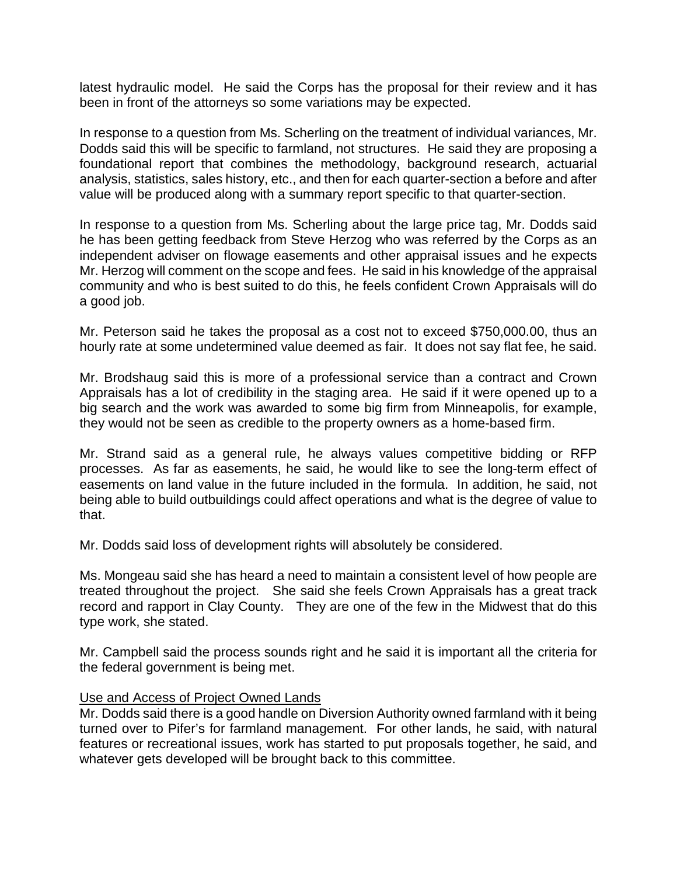latest hydraulic model. He said the Corps has the proposal for their review and it has been in front of the attorneys so some variations may be expected.

In response to a question from Ms. Scherling on the treatment of individual variances, Mr. Dodds said this will be specific to farmland, not structures. He said they are proposing a foundational report that combines the methodology, background research, actuarial analysis, statistics, sales history, etc., and then for each quarter-section a before and after value will be produced along with a summary report specific to that quarter-section.

In response to a question from Ms. Scherling about the large price tag, Mr. Dodds said he has been getting feedback from Steve Herzog who was referred by the Corps as an independent adviser on flowage easements and other appraisal issues and he expects Mr. Herzog will comment on the scope and fees. He said in his knowledge of the appraisal community and who is best suited to do this, he feels confident Crown Appraisals will do a good job.

Mr. Peterson said he takes the proposal as a cost not to exceed \$750,000.00, thus an hourly rate at some undetermined value deemed as fair. It does not say flat fee, he said.

Mr. Brodshaug said this is more of a professional service than a contract and Crown Appraisals has a lot of credibility in the staging area. He said if it were opened up to a big search and the work was awarded to some big firm from Minneapolis, for example, they would not be seen as credible to the property owners as a home-based firm.

Mr. Strand said as a general rule, he always values competitive bidding or RFP processes. As far as easements, he said, he would like to see the long-term effect of easements on land value in the future included in the formula. In addition, he said, not being able to build outbuildings could affect operations and what is the degree of value to that.

Mr. Dodds said loss of development rights will absolutely be considered.

Ms. Mongeau said she has heard a need to maintain a consistent level of how people are treated throughout the project. She said she feels Crown Appraisals has a great track record and rapport in Clay County. They are one of the few in the Midwest that do this type work, she stated.

Mr. Campbell said the process sounds right and he said it is important all the criteria for the federal government is being met.

#### Use and Access of Project Owned Lands

Mr. Dodds said there is a good handle on Diversion Authority owned farmland with it being turned over to Pifer's for farmland management. For other lands, he said, with natural features or recreational issues, work has started to put proposals together, he said, and whatever gets developed will be brought back to this committee.